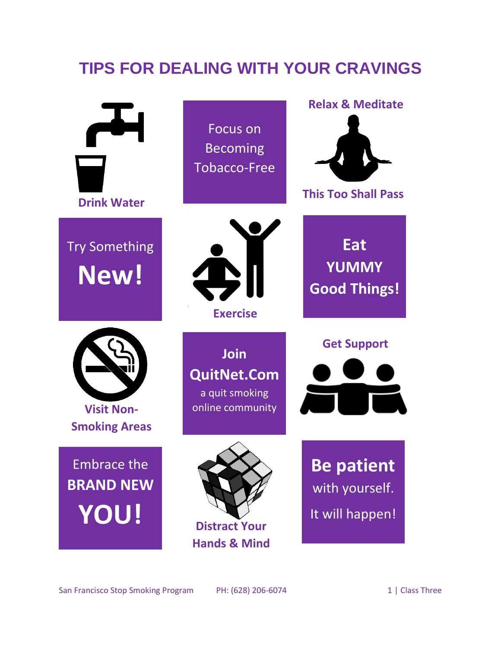## **TIPS FOR DEALING WITH YOUR CRAVINGS**

| <b>Drink Water</b>                                    | Focus on<br><b>Becoming</b><br><b>Tobacco-Free</b>                      | <b>Relax &amp; Meditate</b><br><b>This Too Shall Pass</b> |
|-------------------------------------------------------|-------------------------------------------------------------------------|-----------------------------------------------------------|
| <b>Try Something</b><br>New!                          | <b>Exercise</b>                                                         | <b>Eat</b><br><b>YUMMY</b><br><b>Good Things!</b>         |
| <b>Visit Non-</b><br><b>Smoking Areas</b>             | <b>Join</b><br><b>QuitNet.Com</b><br>a quit smoking<br>online community | <b>Get Support</b>                                        |
| <b>Embrace the</b><br><b>BRAND NEW</b><br><b>YOU!</b> | <b>Distract Your</b><br><b>Hands &amp; Mind</b>                         | <b>Be patient</b><br>with yourself.<br>It will happen!    |

San Francisco Stop Smoking Program PH: (628) 206-6074 1 | Class Three